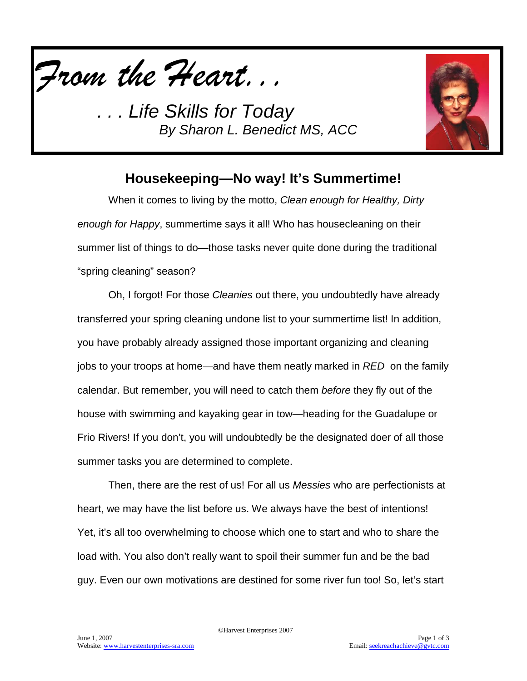



## **Housekeeping—No way! It's Summertime!**

When it comes to living by the motto, *Clean enough for Healthy, Dirty enough for Happy*, summertime says it all! Who has housecleaning on their summer list of things to do—those tasks never quite done during the traditional "spring cleaning" season?

Oh, I forgot! For those *Cleanies* out there, you undoubtedly have already transferred your spring cleaning undone list to your summertime list! In addition, you have probably already assigned those important organizing and cleaning jobs to your troops at home—and have them neatly marked in *RED* on the family calendar. But remember, you will need to catch them *before* they fly out of the house with swimming and kayaking gear in tow—heading for the Guadalupe or Frio Rivers! If you don't, you will undoubtedly be the designated doer of all those summer tasks you are determined to complete.

Then, there are the rest of us! For all us *Messies* who are perfectionists at heart, we may have the list before us. We always have the best of intentions! Yet, it's all too overwhelming to choose which one to start and who to share the load with. You also don't really want to spoil their summer fun and be the bad guy. Even our own motivations are destined for some river fun too! So, let's start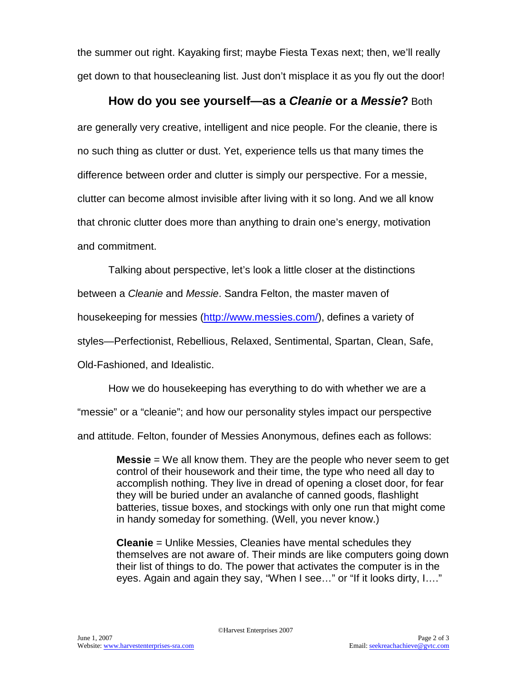the summer out right. Kayaking first; maybe Fiesta Texas next; then, we'll really get down to that housecleaning list. Just don't misplace it as you fly out the door!

### **How do you see yourself—as a** *Cleanie* **or a** *Messie***?** Both

are generally very creative, intelligent and nice people. For the cleanie, there is no such thing as clutter or dust. Yet, experience tells us that many times the difference between order and clutter is simply our perspective. For a messie, clutter can become almost invisible after living with it so long. And we all know that chronic clutter does more than anything to drain one's energy, motivation and commitment.

Talking about perspective, let's look a little closer at the distinctions

between a *Cleanie* and *Messie*. Sandra Felton, the master maven of

housekeeping for messies [\(http://www.messies.com/\)](http://www.messies.com/), defines a variety of

styles—Perfectionist, Rebellious, Relaxed, Sentimental, Spartan, Clean, Safe,

Old-Fashioned, and Idealistic.

How we do housekeeping has everything to do with whether we are a

"messie" or a "cleanie"; and how our personality styles impact our perspective

and attitude. Felton, founder of Messies Anonymous, defines each as follows:

**Messie** = We all know them. They are the people who never seem to get control of their housework and their time, the type who need all day to accomplish nothing. They live in dread of opening a closet door, for fear they will be buried under an avalanche of canned goods, flashlight batteries, tissue boxes, and stockings with only one run that might come in handy someday for something. (Well, you never know.)

**Cleanie** = Unlike Messies, Cleanies have mental schedules they themselves are not aware of. Their minds are like computers going down their list of things to do. The power that activates the computer is in the eyes. Again and again they say, "When I see…" or "If it looks dirty, I…."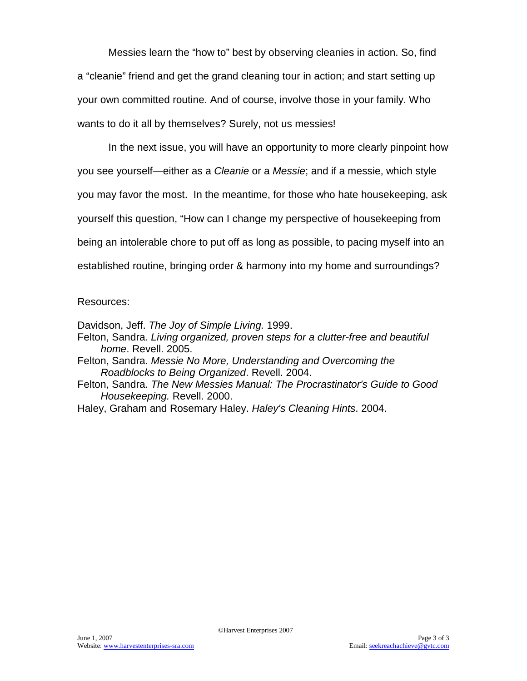Messies learn the "how to" best by observing cleanies in action. So, find a "cleanie" friend and get the grand cleaning tour in action; and start setting up your own committed routine. And of course, involve those in your family. Who wants to do it all by themselves? Surely, not us messies!

In the next issue, you will have an opportunity to more clearly pinpoint how you see yourself—either as a *Cleanie* or a *Messie*; and if a messie, which style you may favor the most. In the meantime, for those who hate housekeeping, ask yourself this question, "How can I change my perspective of housekeeping from being an intolerable chore to put off as long as possible, to pacing myself into an established routine, bringing order & harmony into my home and surroundings?

#### Resources:

Davidson, Jeff. *The Joy of Simple Living.* 1999.

- Felton, Sandra. *Living organized, proven steps for a clutter-free and beautiful home*. Revell. 2005.
- Felton, Sandra. *Messie No More, Understanding and Overcoming the Roadblocks to Being Organized*. Revell. 2004.
- Felton, Sandra. *The New Messies Manual: The Procrastinator's Guide to Good Housekeeping.* Revell. 2000.
- Haley, Graham and Rosemary Haley. *Haley's Cleaning Hints*. 2004.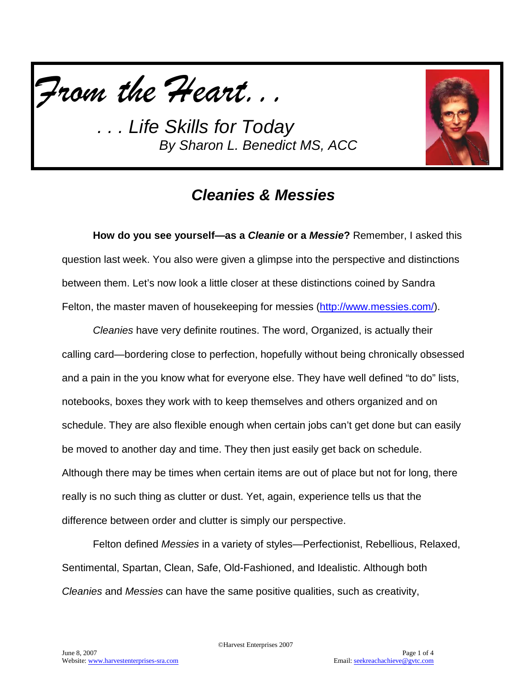



# *Cleanies & Messies*

**How do you see yourself—as a** *Cleanie* **or a** *Messie***?** Remember, I asked this question last week. You also were given a glimpse into the perspective and distinctions between them. Let's now look a little closer at these distinctions coined by Sandra Felton, the master maven of housekeeping for messies [\(http://www.messies.com/\)](http://www.messies.com/).

*Cleanies* have very definite routines. The word, Organized, is actually their calling card—bordering close to perfection, hopefully without being chronically obsessed and a pain in the you know what for everyone else. They have well defined "to do" lists, notebooks, boxes they work with to keep themselves and others organized and on schedule. They are also flexible enough when certain jobs can't get done but can easily be moved to another day and time. They then just easily get back on schedule. Although there may be times when certain items are out of place but not for long, there really is no such thing as clutter or dust. Yet, again, experience tells us that the difference between order and clutter is simply our perspective.

Felton defined *Messies* in a variety of styles—Perfectionist, Rebellious, Relaxed, Sentimental, Spartan, Clean, Safe, Old-Fashioned, and Idealistic. Although both *Cleanies* and *Messies* can have the same positive qualities, such as creativity,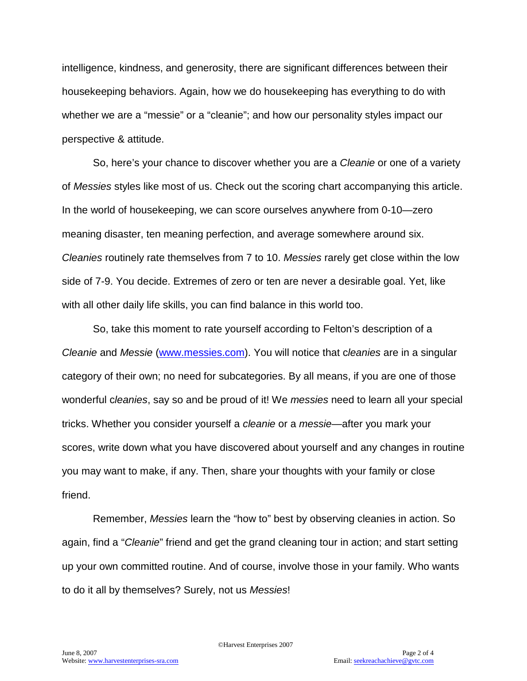intelligence, kindness, and generosity, there are significant differences between their housekeeping behaviors. Again, how we do housekeeping has everything to do with whether we are a "messie" or a "cleanie"; and how our personality styles impact our perspective & attitude.

So, here's your chance to discover whether you are a *Cleanie* or one of a variety of *Messies* styles like most of us. Check out the scoring chart accompanying this article. In the world of housekeeping, we can score ourselves anywhere from 0-10—zero meaning disaster, ten meaning perfection, and average somewhere around six. *Cleanies* routinely rate themselves from 7 to 10. *Messies* rarely get close within the low side of 7-9. You decide. Extremes of zero or ten are never a desirable goal. Yet, like with all other daily life skills, you can find balance in this world too.

So, take this moment to rate yourself according to Felton's description of a *Cleanie* and *Messie* [\(www.messies.com\)](http://www.messies.com/). You will notice that c*leanies* are in a singular category of their own; no need for subcategories. By all means, if you are one of those wonderful c*leanies*, say so and be proud of it! We *messies* need to learn all your special tricks. Whether you consider yourself a *cleanie* or a *messie*—after you mark your scores, write down what you have discovered about yourself and any changes in routine you may want to make, if any. Then, share your thoughts with your family or close friend.

Remember, *Messies* learn the "how to" best by observing cleanies in action. So again, find a "*Cleanie*" friend and get the grand cleaning tour in action; and start setting up your own committed routine. And of course, involve those in your family. Who wants to do it all by themselves? Surely, not us *Messies*!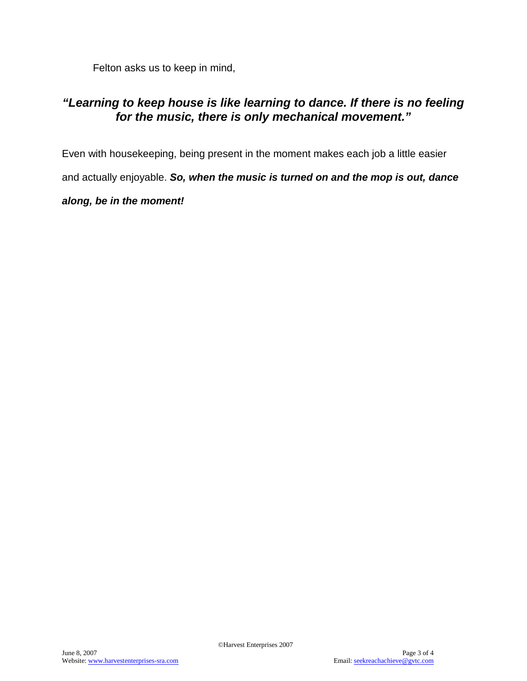Felton asks us to keep in mind,

### *"Learning to keep house is like learning to dance. If there is no feeling for the music, there is only mechanical movement."*

Even with housekeeping, being present in the moment makes each job a little easier and actually enjoyable. *So, when the music is turned on and the mop is out, dance along, be in the moment!*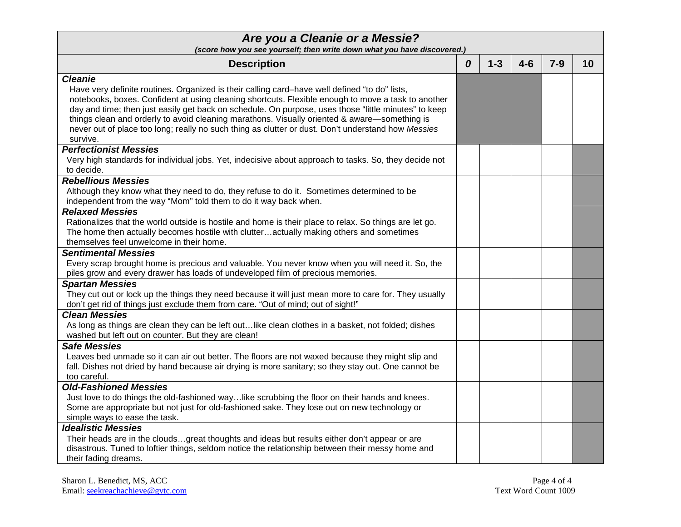| Are you a Cleanie or a Messie?<br>(score how you see yourself; then write down what you have discovered.)                                                                                                                                                                                                                                                                                                                                                                                                                                       |   |         |         |       |    |
|-------------------------------------------------------------------------------------------------------------------------------------------------------------------------------------------------------------------------------------------------------------------------------------------------------------------------------------------------------------------------------------------------------------------------------------------------------------------------------------------------------------------------------------------------|---|---------|---------|-------|----|
| <b>Description</b>                                                                                                                                                                                                                                                                                                                                                                                                                                                                                                                              | 0 | $1 - 3$ | $4 - 6$ | $7-9$ | 10 |
| <b>Cleanie</b><br>Have very definite routines. Organized is their calling card-have well defined "to do" lists,<br>notebooks, boxes. Confident at using cleaning shortcuts. Flexible enough to move a task to another<br>day and time; then just easily get back on schedule. On purpose, uses those "little minutes" to keep<br>things clean and orderly to avoid cleaning marathons. Visually oriented & aware—something is<br>never out of place too long; really no such thing as clutter or dust. Don't understand how Messies<br>survive. |   |         |         |       |    |
| <b>Perfectionist Messies</b><br>Very high standards for individual jobs. Yet, indecisive about approach to tasks. So, they decide not<br>to decide.                                                                                                                                                                                                                                                                                                                                                                                             |   |         |         |       |    |
| <b>Rebellious Messies</b><br>Although they know what they need to do, they refuse to do it. Sometimes determined to be<br>independent from the way "Mom" told them to do it way back when.                                                                                                                                                                                                                                                                                                                                                      |   |         |         |       |    |
| <b>Relaxed Messies</b><br>Rationalizes that the world outside is hostile and home is their place to relax. So things are let go.<br>The home then actually becomes hostile with clutteractually making others and sometimes<br>themselves feel unwelcome in their home.                                                                                                                                                                                                                                                                         |   |         |         |       |    |
| <b>Sentimental Messies</b><br>Every scrap brought home is precious and valuable. You never know when you will need it. So, the<br>piles grow and every drawer has loads of undeveloped film of precious memories.                                                                                                                                                                                                                                                                                                                               |   |         |         |       |    |
| <b>Spartan Messies</b><br>They cut out or lock up the things they need because it will just mean more to care for. They usually<br>don't get rid of things just exclude them from care. "Out of mind; out of sight!"                                                                                                                                                                                                                                                                                                                            |   |         |         |       |    |
| <b>Clean Messies</b><br>As long as things are clean they can be left out like clean clothes in a basket, not folded; dishes<br>washed but left out on counter. But they are clean!                                                                                                                                                                                                                                                                                                                                                              |   |         |         |       |    |
| <b>Safe Messies</b><br>Leaves bed unmade so it can air out better. The floors are not waxed because they might slip and<br>fall. Dishes not dried by hand because air drying is more sanitary; so they stay out. One cannot be<br>too careful.                                                                                                                                                                                                                                                                                                  |   |         |         |       |    |
| <b>Old-Fashioned Messies</b><br>Just love to do things the old-fashioned waylike scrubbing the floor on their hands and knees.<br>Some are appropriate but not just for old-fashioned sake. They lose out on new technology or<br>simple ways to ease the task.                                                                                                                                                                                                                                                                                 |   |         |         |       |    |
| <b>Idealistic Messies</b><br>Their heads are in the cloudsgreat thoughts and ideas but results either don't appear or are<br>disastrous. Tuned to loftier things, seldom notice the relationship between their messy home and<br>their fading dreams.                                                                                                                                                                                                                                                                                           |   |         |         |       |    |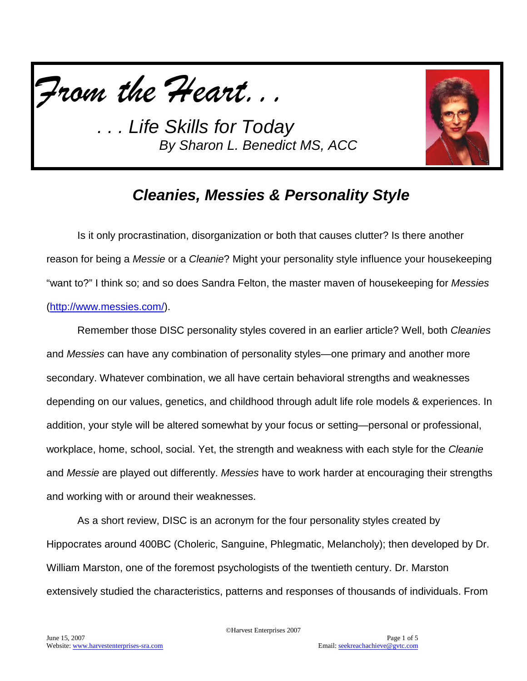



# *Cleanies, Messies & Personality Style*

Is it only procrastination, disorganization or both that causes clutter? Is there another reason for being a *Messie* or a *Cleanie*? Might your personality style influence your housekeeping "want to?" I think so; and so does Sandra Felton, the master maven of housekeeping for *Messies* [\(http://www.messies.com/\)](http://www.messies.com/).

Remember those DISC personality styles covered in an earlier article? Well, both *Cleanies*  and *Messies* can have any combination of personality styles—one primary and another more secondary. Whatever combination, we all have certain behavioral strengths and weaknesses depending on our values, genetics, and childhood through adult life role models & experiences. In addition, your style will be altered somewhat by your focus or setting—personal or professional, workplace, home, school, social. Yet, the strength and weakness with each style for the *Cleanie*  and *Messie* are played out differently. *Messies* have to work harder at encouraging their strengths and working with or around their weaknesses.

As a short review, DISC is an acronym for the four personality styles created by Hippocrates around 400BC (Choleric, Sanguine, Phlegmatic, Melancholy); then developed by Dr. William Marston, one of the foremost psychologists of the twentieth century. Dr. Marston extensively studied the characteristics, patterns and responses of thousands of individuals. From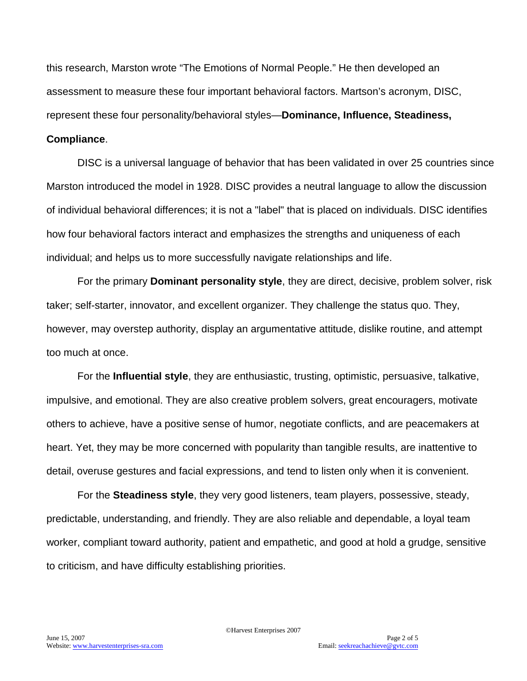this research, Marston wrote "The Emotions of Normal People." He then developed an assessment to measure these four important behavioral factors. Martson's acronym, DISC, represent these four personality/behavioral styles—**Dominance, Influence, Steadiness,** 

#### **Compliance**.

DISC is a universal language of behavior that has been validated in over 25 countries since Marston introduced the model in 1928. DISC provides a neutral language to allow the discussion of individual behavioral differences; it is not a "label" that is placed on individuals. DISC identifies how four behavioral factors interact and emphasizes the strengths and uniqueness of each individual; and helps us to more successfully navigate relationships and life.

For the primary **Dominant personality style**, they are direct, decisive, problem solver, risk taker; self-starter, innovator, and excellent organizer. They challenge the status quo. They, however, may overstep authority, display an argumentative attitude, dislike routine, and attempt too much at once.

For the **Influential style**, they are enthusiastic, trusting, optimistic, persuasive, talkative, impulsive, and emotional. They are also creative problem solvers, great encouragers, motivate others to achieve, have a positive sense of humor, negotiate conflicts, and are peacemakers at heart. Yet, they may be more concerned with popularity than tangible results, are inattentive to detail, overuse gestures and facial expressions, and tend to listen only when it is convenient.

For the **Steadiness style**, they very good listeners, team players, possessive, steady, predictable, understanding, and friendly. They are also reliable and dependable, a loyal team worker, compliant toward authority, patient and empathetic, and good at hold a grudge, sensitive to criticism, and have difficulty establishing priorities.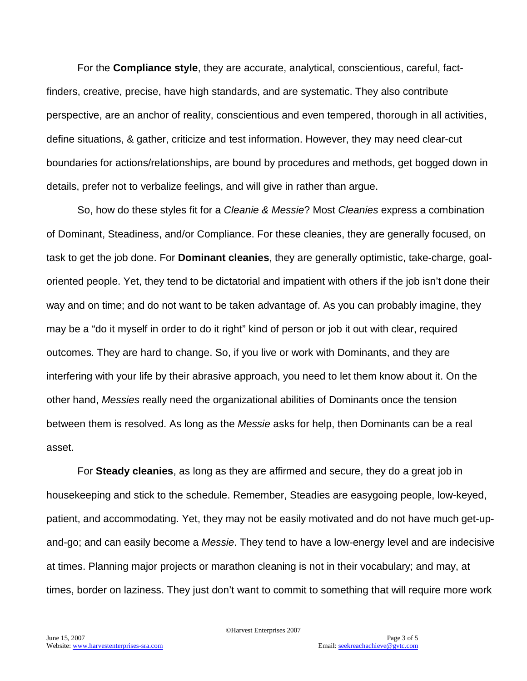For the **Compliance style**, they are accurate, analytical, conscientious, careful, factfinders, creative, precise, have high standards, and are systematic. They also contribute perspective, are an anchor of reality, conscientious and even tempered, thorough in all activities, define situations, & gather, criticize and test information. However, they may need clear-cut boundaries for actions/relationships, are bound by procedures and methods, get bogged down in details, prefer not to verbalize feelings, and will give in rather than argue.

So, how do these styles fit for a *Cleanie & Messie*? Most *Cleanies* express a combination of Dominant, Steadiness, and/or Compliance. For these cleanies, they are generally focused, on task to get the job done. For **Dominant cleanies**, they are generally optimistic, take-charge, goaloriented people. Yet, they tend to be dictatorial and impatient with others if the job isn't done their way and on time; and do not want to be taken advantage of. As you can probably imagine, they may be a "do it myself in order to do it right" kind of person or job it out with clear, required outcomes. They are hard to change. So, if you live or work with Dominants, and they are interfering with your life by their abrasive approach, you need to let them know about it. On the other hand, *Messies* really need the organizational abilities of Dominants once the tension between them is resolved. As long as the *Messie* asks for help, then Dominants can be a real asset.

For **Steady cleanies**, as long as they are affirmed and secure, they do a great job in housekeeping and stick to the schedule. Remember, Steadies are easygoing people, low-keyed, patient, and accommodating. Yet, they may not be easily motivated and do not have much get-upand-go; and can easily become a *Messie*. They tend to have a low-energy level and are indecisive at times. Planning major projects or marathon cleaning is not in their vocabulary; and may, at times, border on laziness. They just don't want to commit to something that will require more work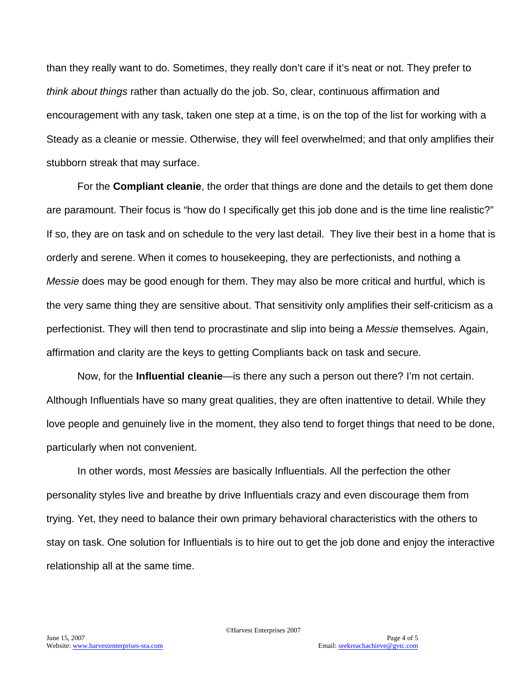than they really want to do. Sometimes, they really don't care if it's neat or not. They prefer to *think about things* rather than actually do the job. So, clear, continuous affirmation and encouragement with any task, taken one step at a time, is on the top of the list for working with a Steady as a cleanie or messie. Otherwise, they will feel overwhelmed; and that only amplifies their stubborn streak that may surface.

For the **Compliant cleanie**, the order that things are done and the details to get them done are paramount. Their focus is "how do I specifically get this job done and is the time line realistic?" If so, they are on task and on schedule to the very last detail. They live their best in a home that is orderly and serene. When it comes to housekeeping, they are perfectionists, and nothing a *Messie* does may be good enough for them. They may also be more critical and hurtful, which is the very same thing they are sensitive about. That sensitivity only amplifies their self-criticism as a perfectionist. They will then tend to procrastinate and slip into being a *Messie* themselves*.* Again, affirmation and clarity are the keys to getting Compliants back on task and secure.

Now, for the **Influential cleanie**—is there any such a person out there? I'm not certain. Although Influentials have so many great qualities, they are often inattentive to detail. While they love people and genuinely live in the moment, they also tend to forget things that need to be done, particularly when not convenient.

In other words, most *Messies* are basically Influentials. All the perfection the other personality styles live and breathe by drive Influentials crazy and even discourage them from trying. Yet, they need to balance their own primary behavioral characteristics with the others to stay on task. One solution for Influentials is to hire out to get the job done and enjoy the interactive relationship all at the same time.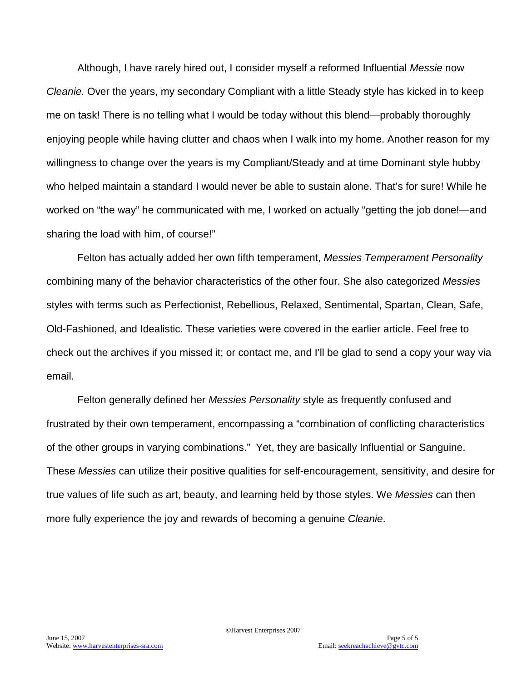Although, I have rarely hired out, I consider myself a reformed Influential *Messie* now *Cleanie.* Over the years, my secondary Compliant with a little Steady style has kicked in to keep me on task! There is no telling what I would be today without this blend—probably thoroughly enjoying people while having clutter and chaos when I walk into my home. Another reason for my willingness to change over the years is my Compliant/Steady and at time Dominant style hubby who helped maintain a standard I would never be able to sustain alone. That's for sure! While he worked on "the way" he communicated with me, I worked on actually "getting the job done!—and sharing the load with him, of course!"

Felton has actually added her own fifth temperament, *Messies Temperament Personality* combining many of the behavior characteristics of the other four. She also categorized *Messies*  styles with terms such as Perfectionist, Rebellious, Relaxed, Sentimental, Spartan, Clean, Safe, Old-Fashioned, and Idealistic. These varieties were covered in the earlier article. Feel free to check out the archives if you missed it; or contact me, and I'll be glad to send a copy your way via email.

Felton generally defined her *Messies Personality* style as frequently confused and frustrated by their own temperament, encompassing a "combination of conflicting characteristics of the other groups in varying combinations." Yet, they are basically Influential or Sanguine. These *Messies* can utilize their positive qualities for self-encouragement, sensitivity, and desire for true values of life such as art, beauty, and learning held by those styles. We *Messies* can then more fully experience the joy and rewards of becoming a genuine *Cleanie*.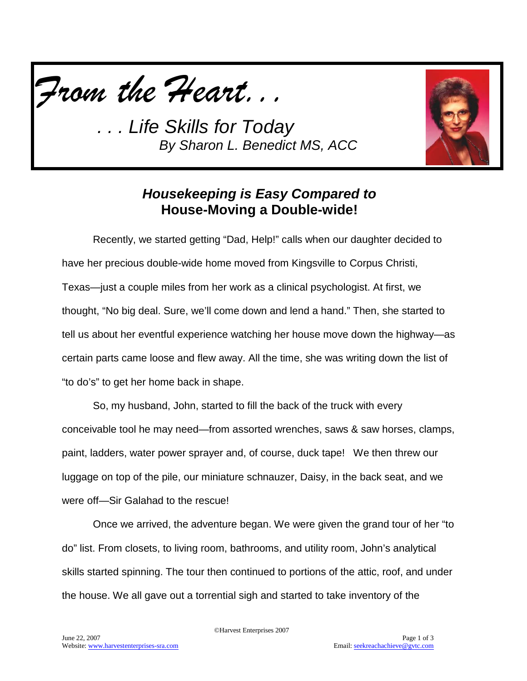



## *Housekeeping is Easy Compared to*  **House-Moving a Double-wide!**

Recently, we started getting "Dad, Help!" calls when our daughter decided to have her precious double-wide home moved from Kingsville to Corpus Christi, Texas—just a couple miles from her work as a clinical psychologist. At first, we thought, "No big deal. Sure, we'll come down and lend a hand." Then, she started to tell us about her eventful experience watching her house move down the highway—as certain parts came loose and flew away. All the time, she was writing down the list of "to do's" to get her home back in shape.

So, my husband, John, started to fill the back of the truck with every conceivable tool he may need—from assorted wrenches, saws & saw horses, clamps, paint, ladders, water power sprayer and, of course, duck tape! We then threw our luggage on top of the pile, our miniature schnauzer, Daisy, in the back seat, and we were off—Sir Galahad to the rescue!

Once we arrived, the adventure began. We were given the grand tour of her "to do" list. From closets, to living room, bathrooms, and utility room, John's analytical skills started spinning. The tour then continued to portions of the attic, roof, and under the house. We all gave out a torrential sigh and started to take inventory of the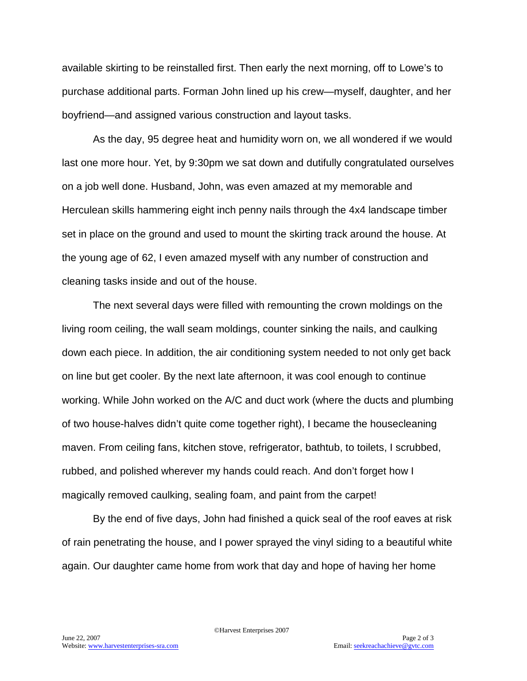available skirting to be reinstalled first. Then early the next morning, off to Lowe's to purchase additional parts. Forman John lined up his crew—myself, daughter, and her boyfriend—and assigned various construction and layout tasks.

As the day, 95 degree heat and humidity worn on, we all wondered if we would last one more hour. Yet, by 9:30pm we sat down and dutifully congratulated ourselves on a job well done. Husband, John, was even amazed at my memorable and Herculean skills hammering eight inch penny nails through the 4x4 landscape timber set in place on the ground and used to mount the skirting track around the house. At the young age of 62, I even amazed myself with any number of construction and cleaning tasks inside and out of the house.

The next several days were filled with remounting the crown moldings on the living room ceiling, the wall seam moldings, counter sinking the nails, and caulking down each piece. In addition, the air conditioning system needed to not only get back on line but get cooler. By the next late afternoon, it was cool enough to continue working. While John worked on the A/C and duct work (where the ducts and plumbing of two house-halves didn't quite come together right), I became the housecleaning maven. From ceiling fans, kitchen stove, refrigerator, bathtub, to toilets, I scrubbed, rubbed, and polished wherever my hands could reach. And don't forget how I magically removed caulking, sealing foam, and paint from the carpet!

By the end of five days, John had finished a quick seal of the roof eaves at risk of rain penetrating the house, and I power sprayed the vinyl siding to a beautiful white again. Our daughter came home from work that day and hope of having her home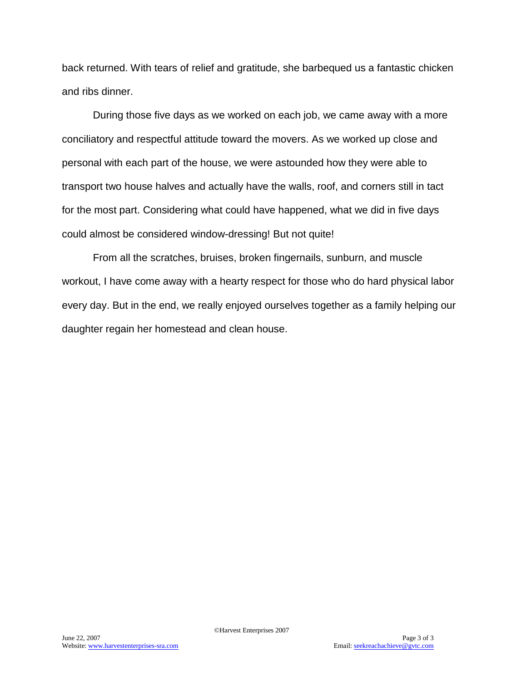back returned. With tears of relief and gratitude, she barbequed us a fantastic chicken and ribs dinner.

During those five days as we worked on each job, we came away with a more conciliatory and respectful attitude toward the movers. As we worked up close and personal with each part of the house, we were astounded how they were able to transport two house halves and actually have the walls, roof, and corners still in tact for the most part. Considering what could have happened, what we did in five days could almost be considered window-dressing! But not quite!

From all the scratches, bruises, broken fingernails, sunburn, and muscle workout, I have come away with a hearty respect for those who do hard physical labor every day. But in the end, we really enjoyed ourselves together as a family helping our daughter regain her homestead and clean house.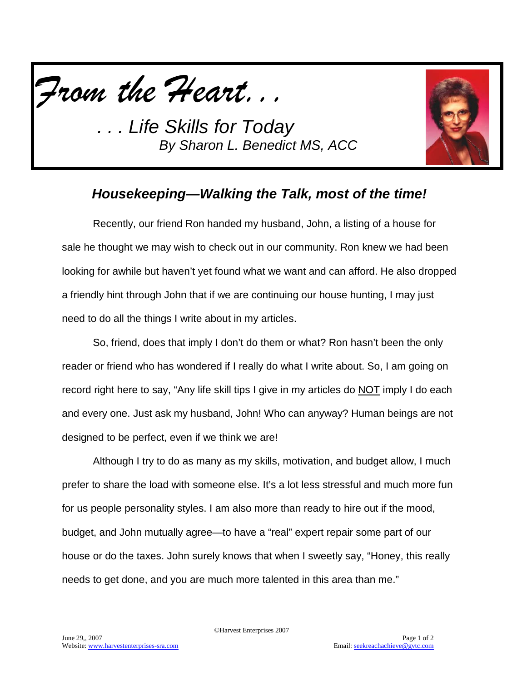



# *Housekeeping—Walking the Talk, most of the time!*

Recently, our friend Ron handed my husband, John, a listing of a house for sale he thought we may wish to check out in our community. Ron knew we had been looking for awhile but haven't yet found what we want and can afford. He also dropped a friendly hint through John that if we are continuing our house hunting, I may just need to do all the things I write about in my articles.

So, friend, does that imply I don't do them or what? Ron hasn't been the only reader or friend who has wondered if I really do what I write about. So, I am going on record right here to say, "Any life skill tips I give in my articles do NOT imply I do each and every one. Just ask my husband, John! Who can anyway? Human beings are not designed to be perfect, even if we think we are!

Although I try to do as many as my skills, motivation, and budget allow, I much prefer to share the load with someone else. It's a lot less stressful and much more fun for us people personality styles. I am also more than ready to hire out if the mood, budget, and John mutually agree—to have a "real" expert repair some part of our house or do the taxes. John surely knows that when I sweetly say, "Honey, this really needs to get done, and you are much more talented in this area than me."